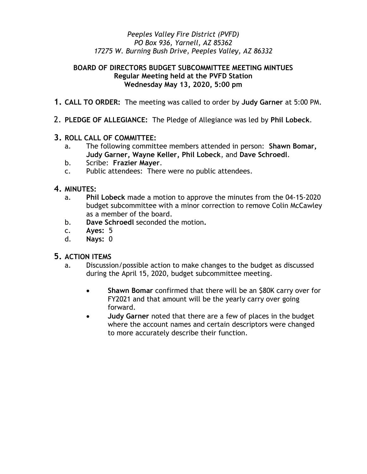## Peeples Valley Fire District (PVFD) PO Box 936, Yarnell, AZ 85362 17275 W. Burning Bush Drive, Peeples Valley, AZ 86332

## BOARD OF DIRECTORS BUDGET SUBCOMMITTEE MEETING MINTUES Regular Meeting held at the PVFD Station Wednesday May 13, 2020, 5:00 pm

- 1. CALL TO ORDER: The meeting was called to order by Judy Garner at 5:00 PM.
- 2. PLEDGE OF ALLEGIANCE: The Pledge of Allegiance was led by Phil Lobeck.
- 3. ROLL CALL OF COMMITTEE:
	- a. The following committee members attended in person: Shawn Bomar, Judy Garner, Wayne Keller, Phil Lobeck, and Dave Schroedl.
	- b. Scribe: Frazier Mayer.
	- c. Public attendees: There were no public attendees.
- 4. MINUTES:
	- a. Phil Lobeck made a motion to approve the minutes from the 04-15-2020 budget subcommittee with a minor correction to remove Colin McCawley as a member of the board.
	- b. Dave Schroedl seconded the motion.
	- c. Ayes: 5
	- d. Nays: 0

## 5. ACTION ITEMS

- a. Discussion/possible action to make changes to the budget as discussed during the April 15, 2020, budget subcommittee meeting.
	- Shawn Bomar confirmed that there will be an \$80K carry over for FY2021 and that amount will be the yearly carry over going forward.
	- Judy Garner noted that there are a few of places in the budget where the account names and certain descriptors were changed to more accurately describe their function.